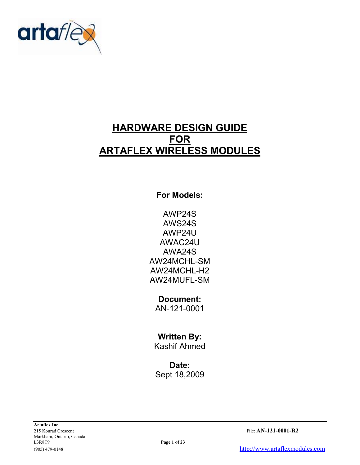

# HARDWARE DESIGN GUIDE FOR ARTAFLEX WIRELESS MODULES

For Models:

AWP24S AWS24S AWP24U AWAC24U AWA24S AW24MCHL-SM AW24MCHL-H2 AW24MUFL-SM

Document: AN-121-0001

## Written By:

Kashif Ahmed

Date: Sept 18,2009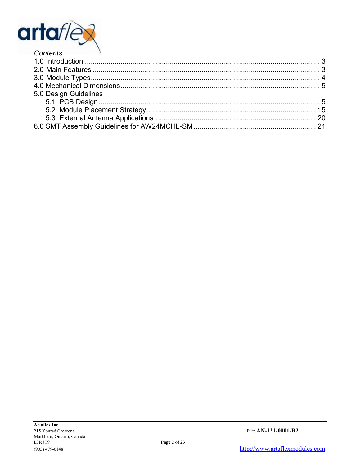

| <b>COMENTS</b>        |  |
|-----------------------|--|
|                       |  |
|                       |  |
|                       |  |
|                       |  |
| 5.0 Design Guidelines |  |
|                       |  |
|                       |  |
|                       |  |
|                       |  |
|                       |  |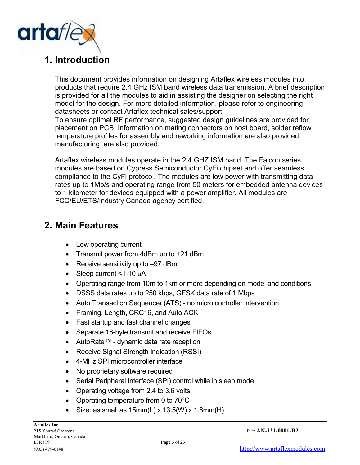

## 1. Introduction

This document provides information on designing Artaflex wireless modules into products that require 2.4 GHz ISM band wireless data transmission. A brief description is provided for all the modules to aid in assisting the designer on selecting the right model for the design. For more detailed information, please refer to engineering datasheets or contact Artaflex technical sales/support.

To ensure optimal RF performance, suggested design guidelines are provided for placement on PCB. Information on mating connectors on host board, solder reflow temperature profiles for assembly and reworking information are also provided. manufacturing are also provided.

Artaflex wireless modules operate in the 2.4 GHZ ISM band. The Falcon series modules are based on Cypress Semiconductor CyFi chipset and offer seamless compliance to the CyFi protocol. The modules are low power with transmitting data rates up to 1Mb/s and operating range from 50 meters for embedded antenna devices to 1 kilometer for devices equipped with a power amplifier. All modules are FCC/EU/ETS/Industry Canada agency certified.

## 2. Main Features

- Low operating current
- Transmit power from 4dBm up to +21 dBm
- Receive sensitivity up to -97 dBm
- Sleep current  $<$ 1-10  $\mu$ A
- Operating range from 10m to 1km or more depending on model and conditions
- DSSS data rates up to 250 kbps, GFSK data rate of 1 Mbps
- Auto Transaction Sequencer (ATS) no micro controller intervention
- Framing, Length, CRC16, and Auto ACK
- Fast startup and fast channel changes
- Separate 16-byte transmit and receive FIFOs
- AutoRate™ dynamic data rate reception
- Receive Signal Strength Indication (RSSI)
- 4-MHz SPI microcontroller interface
- No proprietary software required
- Serial Peripheral Interface (SPI) control while in sleep mode
- Operating voltage from 2.4 to 3.6 volts
- Operating temperature from 0 to 70°C
- Size: as small as  $15mm(L)$  x  $13.5(W)$  x  $1.8mm(H)$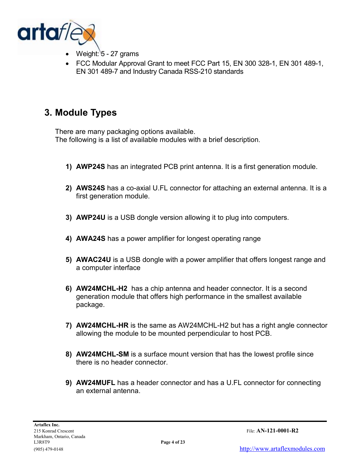

- Weight: 5 27 grams
- FCC Modular Approval Grant to meet FCC Part 15, EN 300 328-1, EN 301 489-1, EN 301 489-7 and Industry Canada RSS-210 standards

## 3. Module Types

There are many packaging options available. The following is a list of available modules with a brief description.

- 1) AWP24S has an integrated PCB print antenna. It is a first generation module.
- 2) AWS24S has a co-axial U.FL connector for attaching an external antenna. It is a first generation module.
- 3) AWP24U is a USB dongle version allowing it to plug into computers.
- 4) AWA24S has a power amplifier for longest operating range
- 5) AWAC24U is a USB dongle with a power amplifier that offers longest range and a computer interface
- 6) AW24MCHL-H2 has a chip antenna and header connector. It is a second generation module that offers high performance in the smallest available package.
- 7) AW24MCHL-HR is the same as AW24MCHL-H2 but has a right angle connector allowing the module to be mounted perpendicular to host PCB.
- 8) AW24MCHL-SM is a surface mount version that has the lowest profile since there is no header connector.
- 9) AW24MUFL has a header connector and has a U.FL connector for connecting an external antenna.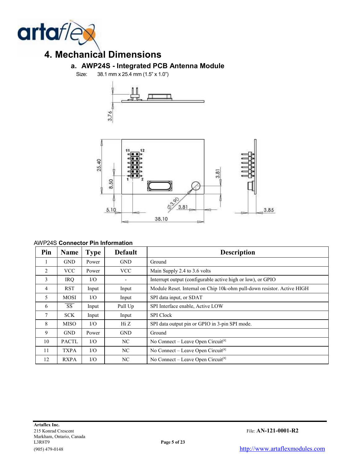

# 4. Mechanical Dimensions

## a. AWP24S - Integrated PCB Antenna Module

Size: 38.1 mm x 25.4 mm (1.5" x 1.0")





#### AWP24S Connector Pin Information

| Pin | Name                   | <b>Type</b> | <b>Default</b> | <b>Description</b>                                                     |
|-----|------------------------|-------------|----------------|------------------------------------------------------------------------|
| л.  | <b>GND</b>             | Power       | <b>GND</b>     | Ground                                                                 |
| 2   | <b>VCC</b>             | Power       | <b>VCC</b>     | Main Supply 2.4 to 3.6 volts                                           |
| 3   | IRQ                    | I/O         |                | Interrupt output (configurable active high or low), or GPIO            |
| 4   | <b>RST</b>             | Input       | Input          | Module Reset. Internal on Chip 10k-ohm pull-down resistor. Active HIGH |
| 5   | MOSI                   | I/O         | Input          | SPI data input, or SDAT                                                |
| 6   | $\overline{\text{SS}}$ | Input       | Pull Up        | SPI Interface enable, Active LOW                                       |
| 7   | <b>SCK</b>             | Input       | Input          | <b>SPI</b> Clock                                                       |
| 8   | <b>MISO</b>            | $\rm I/O$   | Hi Z           | SPI data output pin or GPIO in 3-pin SPI mode.                         |
| 9   | <b>GND</b>             | Power       | <b>GND</b>     | Ground                                                                 |
| 10  | <b>PACTL</b>           | $\rm I/O$   | NC.            | No Connect – Leave Open Circuit <sup>[8]</sup>                         |
| 11  | <b>TXPA</b>            | $\rm I/O$   | NC             | No Connect – Leave Open Circuit <sup>[8]</sup>                         |
| 12  | <b>RXPA</b>            | I/O         | NC             | No Connect – Leave Open Circuit <sup>[8]</sup>                         |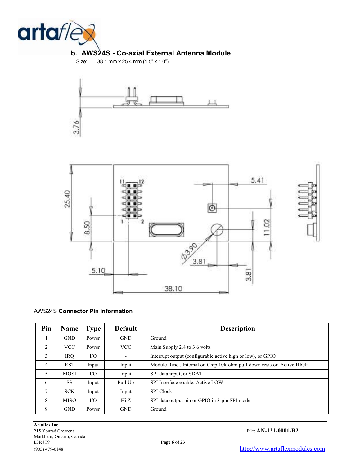

#### b. AWS24S - Co-axial External Antenna Module

Size: 38.1 mm x 25.4 mm (1.5" x 1.0")





#### AWS24S Connector Pin Information

| Pin            | <b>Name</b>            | <b>Type</b> | <b>Default</b> | <b>Description</b>                                                     |
|----------------|------------------------|-------------|----------------|------------------------------------------------------------------------|
|                | <b>GND</b>             | Power       | <b>GND</b>     | Ground                                                                 |
| $\mathfrak{D}$ | <b>VCC</b>             | Power       | <b>VCC</b>     | Main Supply 2.4 to 3.6 volts                                           |
| 3              | <b>IRQ</b>             | $\rm I/O$   |                | Interrupt output (configurable active high or low), or GPIO            |
| $\overline{4}$ | <b>RST</b>             | Input       | Input          | Module Reset. Internal on Chip 10k-ohm pull-down resistor. Active HIGH |
| 5              | <b>MOSI</b>            | I/O         | Input          | SPI data input, or SDAT                                                |
| 6              | $\overline{\text{SS}}$ | Input       | Pull Up        | SPI Interface enable, Active LOW                                       |
| 7              | <b>SCK</b>             | Input       | Input          | <b>SPI</b> Clock                                                       |
| 8              | <b>MISO</b>            | $\rm I/O$   | Hi Z           | SPI data output pin or GPIO in 3-pin SPI mode.                         |
| 9              | <b>GND</b>             | Power       | <b>GND</b>     | Ground                                                                 |

215 Konrad Crescent File: AN-121-0001-R2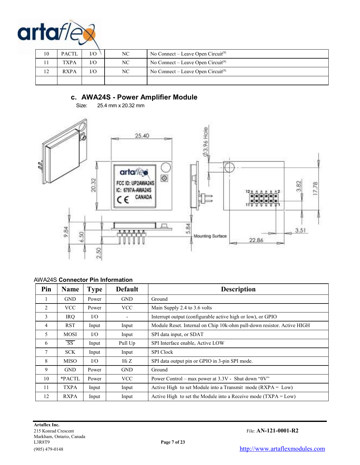

| 10 | <b>PACTL</b> | I/O | NC | No Connect – Leave Open Circuit <sup>[8]</sup> |
|----|--------------|-----|----|------------------------------------------------|
|    | <b>TXPA</b>  | I/O | NC | No Connect – Leave Open Circuit <sup>[8]</sup> |
| 12 | <b>RXPA</b>  | I/O | NC | No Connect – Leave Open Circuit <sup>[8]</sup> |
|    |              |     |    |                                                |

### c. AWA24S - Power Amplifier Module

Size: 25.4 mm x 20.32 mm



#### AWA24S Connector Pin Information

| Pin             | <b>Name</b> | <b>Type</b> | <b>Default</b> | <b>Description</b>                                                     |
|-----------------|-------------|-------------|----------------|------------------------------------------------------------------------|
|                 | <b>GND</b>  | Power       | <b>GND</b>     | Ground                                                                 |
| 2               | <b>VCC</b>  | Power       | <b>VCC</b>     | Main Supply 2.4 to 3.6 volts                                           |
| 3               | IRO.        | $VO$        |                | Interrupt output (configurable active high or low), or GPIO            |
| 4               | <b>RST</b>  | Input       | Input          | Module Reset. Internal on Chip 10k-ohm pull-down resistor. Active HIGH |
| 5               | MOSI        | $VO$        | Input          | SPI data input, or SDAT                                                |
| 6               | SS          | Input       | Pull Up        | SPI Interface enable, Active LOW                                       |
| $7\overline{ }$ | <b>SCK</b>  | Input       | Input          | <b>SPI</b> Clock                                                       |
| 8               | <b>MISO</b> | $VO$        | Hi Z           | SPI data output pin or GPIO in 3-pin SPI mode.                         |
| 9               | <b>GND</b>  | Power       | <b>GND</b>     | Ground                                                                 |
| 10              | *PACTL      | Power       | VCC            | Power Control – max power at $3.3V$ - Shut down "0V"                   |
| 11              | TXPA        | Input       | Input          | Active High to set Module into a Transmit mode $(RXPA = Low)$          |
| 12              | <b>RXPA</b> | Input       | Input          | Active High to set the Module into a Receive mode $(TXPA = Low)$       |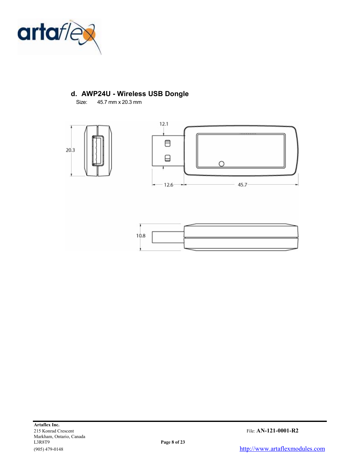

### d. AWP24U - Wireless USB Dongle

Size: 45.7 mm x 20.3 mm

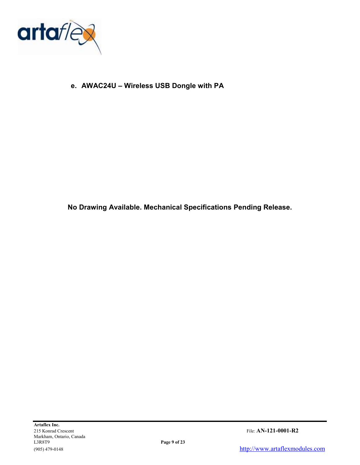

e. AWAC24U – Wireless USB Dongle with PA

No Drawing Available. Mechanical Specifications Pending Release.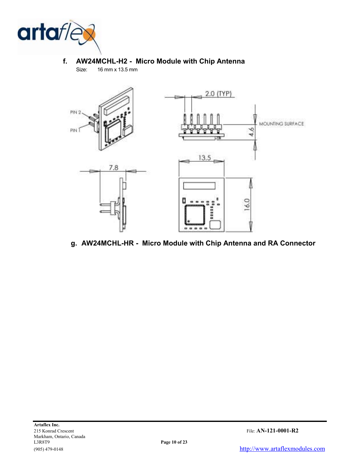

#### f. AW24MCHL-H2 - Micro Module with Chip Antenna Size: 16 mm x 13.5 mm



### g. AW24MCHL-HR - Micro Module with Chip Antenna and RA Connector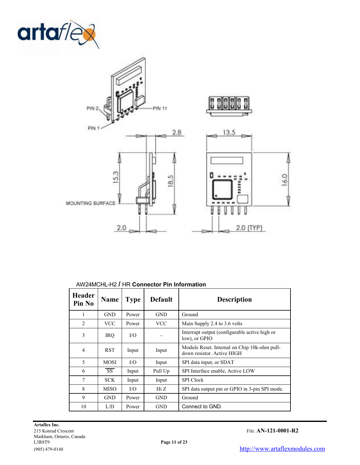



#### AW24MCHL-H2 / HR Connector Pin Information

| <b>Header</b><br>Pin No | Name                   | <b>Type</b> | <b>Default</b> | <b>Description</b>                                                         |
|-------------------------|------------------------|-------------|----------------|----------------------------------------------------------------------------|
| 1                       | <b>GND</b>             | Power       | <b>GND</b>     | Ground                                                                     |
| $\overline{2}$          | <b>VCC</b>             | Power       | <b>VCC</b>     | Main Supply 2.4 to 3.6 volts                                               |
| 3                       | <b>IRQ</b>             | I/O         |                | Interrupt output (configurable active high or<br>low), or GPIO             |
| 4                       | <b>RST</b>             | Input       | Input          | Module Reset. Internal on Chip 10k-ohm pull-<br>down resistor. Active HIGH |
| 5                       | <b>MOSI</b>            | I/O         | Input          | SPI data input, or SDAT                                                    |
| 6                       | $\overline{\text{SS}}$ | Input       | Pull Up        | SPI Interface enable, Active LOW                                           |
| 7                       | SCK.                   | Input       | Input          | <b>SPI</b> Clock                                                           |
| 8                       | <b>MISO</b>            | I/O         | Hi Z           | SPI data output pin or GPIO in 3-pin SPI mode.                             |
| 9                       | <b>GND</b>             | Power       | <b>GND</b>     | Ground                                                                     |
| 10                      | L/D                    | Power       | <b>GND</b>     | Connect to GND.                                                            |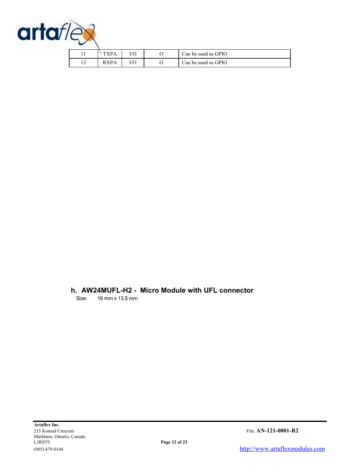

|              |            | I/O | Can be used as GPIO |
|--------------|------------|-----|---------------------|
| $\sim$<br>⊥∠ | <b>XPA</b> | I/O | Can be used as GPIO |

#### h. AW24MUFL-H2 - Micro Module with UFL connector

Size: 16 mm x 13.5 mm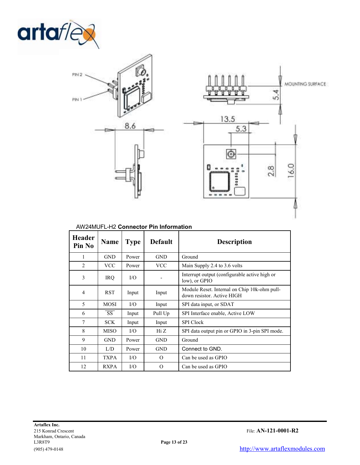



| <b>Header</b><br>Pin No | <b>Name</b>            | <b>Type</b> | <b>Default</b> | <b>Description</b>                                                         |
|-------------------------|------------------------|-------------|----------------|----------------------------------------------------------------------------|
| 1                       | <b>GND</b>             | Power       | <b>GND</b>     | Ground                                                                     |
| $\mathfrak{D}$          | <b>VCC</b>             | Power       | <b>VCC</b>     | Main Supply 2.4 to 3.6 volts                                               |
| 3                       | <b>IRQ</b>             | I/O         |                | Interrupt output (configurable active high or<br>low), or GPIO             |
| $\overline{4}$          | <b>RST</b>             | Input       | Input          | Module Reset. Internal on Chip 10k-ohm pull-<br>down resistor. Active HIGH |
| 5                       | <b>MOSI</b>            | I/O         | Input          | SPI data input, or SDAT                                                    |
| 6                       | $\overline{\text{SS}}$ | Input       | Pull Up        | SPI Interface enable, Active LOW                                           |
| 7                       | <b>SCK</b>             | Input       | Input          | <b>SPI</b> Clock                                                           |
| 8                       | <b>MISO</b>            | $\rm I/O$   | Hi Z           | SPI data output pin or GPIO in 3-pin SPI mode.                             |
| 9                       | <b>GND</b>             | Power       | <b>GND</b>     | Ground                                                                     |
| 10                      | L/D                    | Power       | <b>GND</b>     | Connect to GND.                                                            |
| 11                      | <b>TXPA</b>            | $\rm I/O$   | $\Omega$       | Can be used as GPIO                                                        |
| 12                      | <b>RXPA</b>            | $\rm I/O$   | $\Omega$       | Can be used as GPIO                                                        |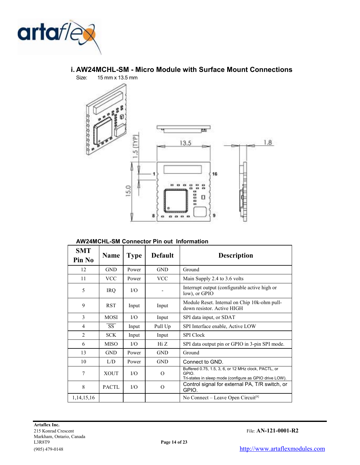



## i. AW24MCHL-SM - Micro Module with Surface Mount Connections

AW24MCHL-SM Connector Pin out Information

| <b>SMT</b><br>Pin No | <b>Name</b>            | <b>Type</b> | <b>Default</b> | <b>Description</b>                                                                                                       |
|----------------------|------------------------|-------------|----------------|--------------------------------------------------------------------------------------------------------------------------|
| 12                   | <b>GND</b>             | Power       | <b>GND</b>     | Ground                                                                                                                   |
| 11                   | <b>VCC</b>             | Power       | <b>VCC</b>     | Main Supply 2.4 to 3.6 volts                                                                                             |
| 5                    | <b>IRQ</b>             | $VO$        |                | Interrupt output (configurable active high or<br>low), or GPIO                                                           |
| 9                    | <b>RST</b>             | Input       | Input          | Module Reset. Internal on Chip 10k-ohm pull-<br>down resistor. Active HIGH                                               |
| 3                    | <b>MOSI</b>            | $VO$        | Input          | SPI data input, or SDAT                                                                                                  |
| 4                    | $\overline{\text{SS}}$ | Input       | Pull Up        | SPI Interface enable, Active LOW                                                                                         |
| $\overline{2}$       | <b>SCK</b>             | Input       | Input          | <b>SPI</b> Clock                                                                                                         |
| 6                    | <b>MISO</b>            | $\rm LO$    | Hi Z           | SPI data output pin or GPIO in 3-pin SPI mode.                                                                           |
| 13                   | <b>GND</b>             | Power       | <b>GND</b>     | Ground                                                                                                                   |
| 10                   | L/D                    | Power       | <b>GND</b>     | Connect to GND.                                                                                                          |
| 7                    | <b>XOUT</b>            | $\rm I/O$   | $\Omega$       | Buffered 0.75, 1.5, 3, 6, or 12 MHz clock, PACTL, or<br>GPIO.<br>Tri-states in sleep mode (configure as GPIO drive LOW). |
| 8                    | <b>PACTL</b>           | $\rm I/O$   | $\Omega$       | Control signal for external PA, T/R switch, or<br>GPIO.                                                                  |
| 1, 14, 15, 16        |                        |             |                | No Connect – Leave Open Circuit <sup>[8]</sup>                                                                           |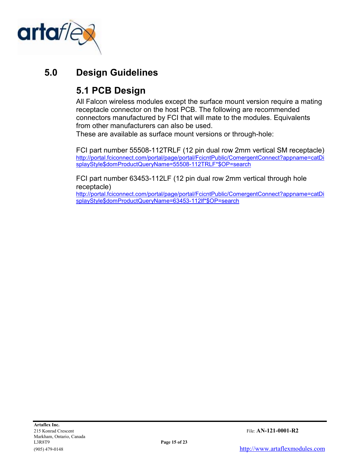

# 5.0 Design Guidelines

# 5.1 PCB Design

All Falcon wireless modules except the surface mount version require a mating receptacle connector on the host PCB. The following are recommended connectors manufactured by FCI that will mate to the modules. Equivalents from other manufacturers can also be used.

These are available as surface mount versions or through-hole:

FCI part number 55508-112TRLF (12 pin dual row 2mm vertical SM receptacle) http://portal.fciconnect.com/portal/page/portal/FcicntPublic/ComergentConnect?appname=catDi splayStyle\$domProductQueryName=55508-112TRLF\*\$OP=search

FCI part number 63453-112LF (12 pin dual row 2mm vertical through hole receptacle)

http://portal.fciconnect.com/portal/page/portal/FcicntPublic/ComergentConnect?appname=catDi splayStyle\$domProductQueryName=63453-112lf\*\$OP=search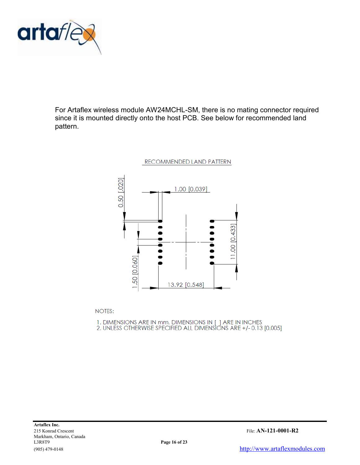

For Artaflex wireless module AW24MCHL-SM, there is no mating connector required since it is mounted directly onto the host PCB. See below for recommended land pattern.



**NOTES:** 

1. DIMENSIONS ARE IN mm, DIMENSIONS IN [ ] ARE IN INCHES 2. UNLESS OTHERWISE SPECIFIED ALL DIMENSIONS ARE +/-0.13 [0.005]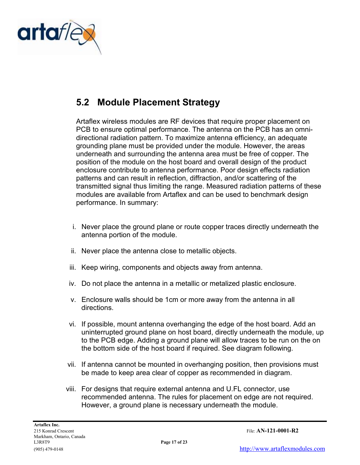

# 5.2 Module Placement Strategy

Artaflex wireless modules are RF devices that require proper placement on PCB to ensure optimal performance. The antenna on the PCB has an omnidirectional radiation pattern. To maximize antenna efficiency, an adequate grounding plane must be provided under the module. However, the areas underneath and surrounding the antenna area must be free of copper. The position of the module on the host board and overall design of the product enclosure contribute to antenna performance. Poor design effects radiation patterns and can result in reflection, diffraction, and/or scattering of the transmitted signal thus limiting the range. Measured radiation patterns of these modules are available from Artaflex and can be used to benchmark design performance. In summary:

- i. Never place the ground plane or route copper traces directly underneath the antenna portion of the module.
- ii. Never place the antenna close to metallic objects.
- iii. Keep wiring, components and objects away from antenna.
- iv. Do not place the antenna in a metallic or metalized plastic enclosure.
- v. Enclosure walls should be 1cm or more away from the antenna in all directions.
- vi. If possible, mount antenna overhanging the edge of the host board. Add an uninterrupted ground plane on host board, directly underneath the module, up to the PCB edge. Adding a ground plane will allow traces to be run on the on the bottom side of the host board if required. See diagram following.
- vii. If antenna cannot be mounted in overhanging position, then provisions must be made to keep area clear of copper as recommended in diagram.
- viii. For designs that require external antenna and U.FL connector, use recommended antenna. The rules for placement on edge are not required. However, a ground plane is necessary underneath the module.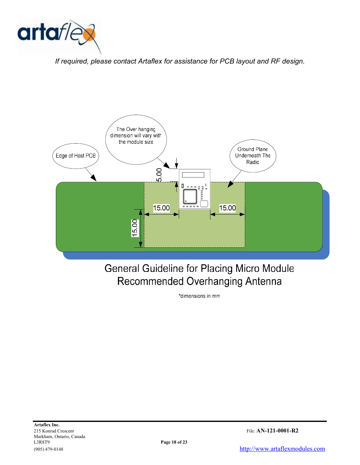

If required, please contact Artaflex for assistance for PCB layout and RF design.



# **General Guideline for Placing Micro Module** Recommended Overhanging Antenna

\*dimensions in mm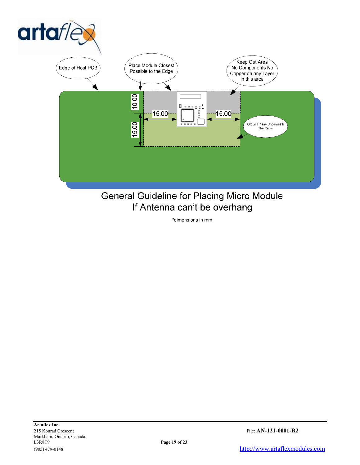

# General Guideline for Placing Micro Module If Antenna can't be overhang

\*dimensions in mm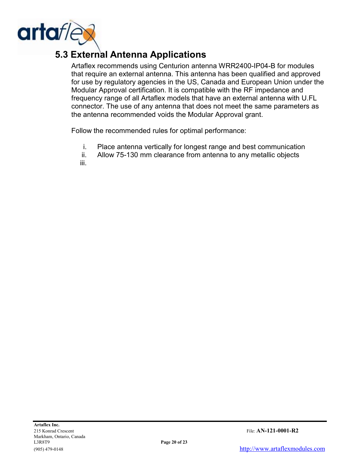

# 5.3 External Antenna Applications

Artaflex recommends using Centurion antenna WRR2400-IP04-B for modules that require an external antenna. This antenna has been qualified and approved for use by regulatory agencies in the US, Canada and European Union under the Modular Approval certification. It is compatible with the RF impedance and frequency range of all Artaflex models that have an external antenna with U.FL connector. The use of any antenna that does not meet the same parameters as the antenna recommended voids the Modular Approval grant.

Follow the recommended rules for optimal performance:

- i. Place antenna vertically for longest range and best communication
- ii. Allow 75-130 mm clearance from antenna to any metallic objects

iii.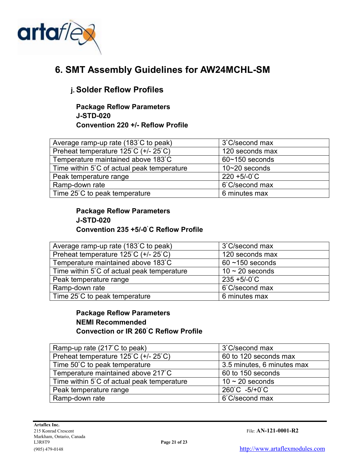

## 6. SMT Assembly Guidelines for AW24MCHL-SM

## j. Solder Reflow Profiles

Package Reflow Parameters J-STD-020 Convention 220 +/- Reflow Profile

| Average ramp-up rate (183°C to peak)       | 3°C/second max     |
|--------------------------------------------|--------------------|
| Preheat temperature 125°C (+/-25°C)        | 120 seconds max    |
| Temperature maintained above 183°C         | $60 - 150$ seconds |
| Time within 5°C of actual peak temperature | $10 - 20$ seconds  |
| Peak temperature range                     | $220 + 5/-0$ C     |
| Ramp-down rate                             | 6°C/second max     |
| Time 25°C to peak temperature              | 6 minutes max      |

### Package Reflow Parameters J-STD-020 Convention 235 +5/-0ْ C Reflow Profile

| Average ramp-up rate (183°C to peak)       | 3°C/second max       |
|--------------------------------------------|----------------------|
| Preheat temperature 125°C (+/-25°C)        | 120 seconds max      |
| Temperature maintained above 183°C         | $60 - 150$ seconds   |
| Time within 5°C of actual peak temperature | $10 \sim 20$ seconds |
| Peak temperature range                     | $235 + 5/-0$ C       |
| Ramp-down rate                             | 6°C/second max       |
| Time 25°C to peak temperature              | 6 minutes max        |

### Package Reflow Parameters NEMI Recommended Convection or IR 260<sup>°</sup>C Reflow Profile

| Ramp-up rate (217°C to peak)               | 3°C/second max             |
|--------------------------------------------|----------------------------|
| Preheat temperature 125°C (+/-25°C)        | 60 to 120 seconds max      |
| Time 50°C to peak temperature              | 3.5 minutes, 6 minutes max |
| Temperature maintained above 217°C         | 60 to 150 seconds          |
| Time within 5°C of actual peak temperature | $10 \sim 20$ seconds       |
| Peak temperature range                     | 260°C -5/+0°C              |
| Ramp-down rate                             | 6°C/second max             |
|                                            |                            |

215 Konrad Crescent File: AN-121-0001-R2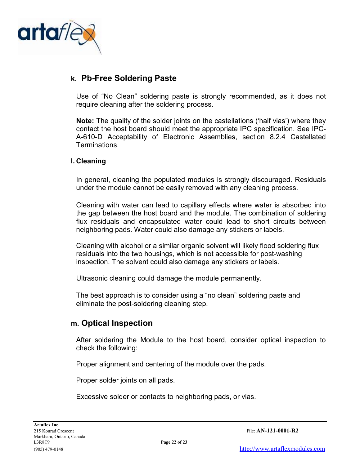

### k. Pb-Free Soldering Paste

Use of "No Clean" soldering paste is strongly recommended, as it does not require cleaning after the soldering process.

Note: The quality of the solder joints on the castellations ('half vias') where they contact the host board should meet the appropriate IPC specification. See IPC-A-610-D Acceptability of Electronic Assemblies, section 8.2.4 Castellated Terminations.

#### l. Cleaning

In general, cleaning the populated modules is strongly discouraged. Residuals under the module cannot be easily removed with any cleaning process.

Cleaning with water can lead to capillary effects where water is absorbed into the gap between the host board and the module. The combination of soldering flux residuals and encapsulated water could lead to short circuits between neighboring pads. Water could also damage any stickers or labels.

Cleaning with alcohol or a similar organic solvent will likely flood soldering flux residuals into the two housings, which is not accessible for post-washing inspection. The solvent could also damage any stickers or labels.

Ultrasonic cleaning could damage the module permanently.

The best approach is to consider using a "no clean" soldering paste and eliminate the post-soldering cleaning step.

### m. Optical Inspection

After soldering the Module to the host board, consider optical inspection to check the following:

Proper alignment and centering of the module over the pads.

Proper solder joints on all pads.

Excessive solder or contacts to neighboring pads, or vias.